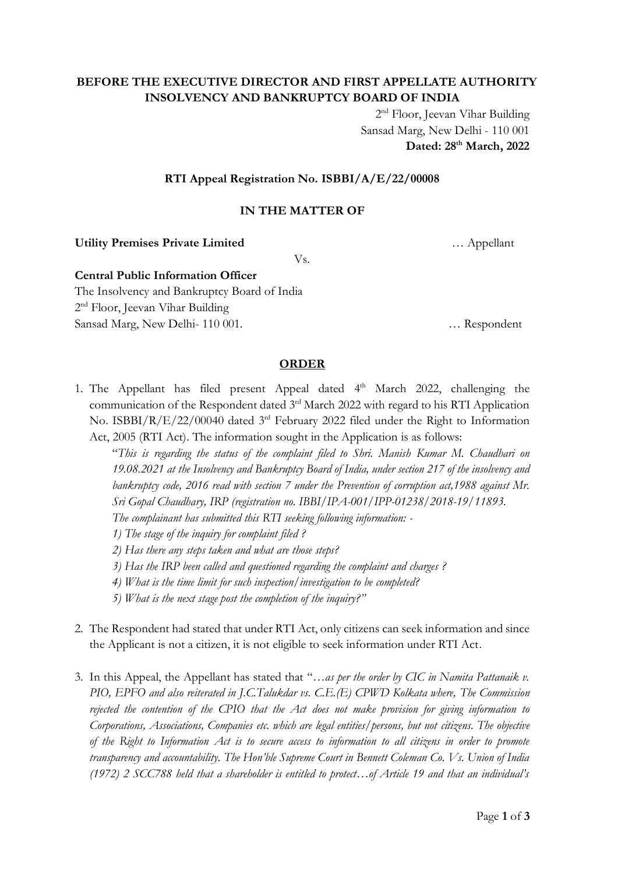# **BEFORE THE EXECUTIVE DIRECTOR AND FIRST APPELLATE AUTHORITY INSOLVENCY AND BANKRUPTCY BOARD OF INDIA**

2<sup>nd</sup> Floor, Jeevan Vihar Building Sansad Marg, New Delhi - 110 001 **Dated: 28th March, 2022**

### **RTI Appeal Registration No. ISBBI/A/E/22/00008**

### **IN THE MATTER OF**

**Utility Premises Private Limited** … Appellant

Vs.

#### **Central Public Information Officer** The Insolvency and Bankruptcy Board of India

2<sup>nd</sup> Floor, Jeevan Vihar Building

Sansad Marg, New Delhi- 110 001. … Respondent

#### **ORDER**

1. The Appellant has filed present Appeal dated  $4<sup>th</sup>$  March 2022, challenging the communication of the Respondent dated 3<sup>rd</sup> March 2022 with regard to his RTI Application No. ISBBI/R/E/22/00040 dated 3<sup>rd</sup> February 2022 filed under the Right to Information Act, 2005 (RTI Act). The information sought in the Application is as follows:

"*This is regarding the status of the complaint filed to Shri. Manish Kumar M. Chaudhari on 19.08.2021 at the Insolvency and Bankruptcy Board of India, under section 217 of the insolvency and bankruptcy code, 2016 read with section 7 under the Prevention of corruption act,1988 against Mr. Sri Gopal Chaudhary, IRP (registration no. IBBI/IPA-001/IPP-01238/2018-19/11893.*

*The complainant has submitted this RTI seeking following information: -*

*1) The stage of the inquiry for complaint filed ?*

*2) Has there any steps taken and what are those steps?*

*3) Has the IRP been called and questioned regarding the complaint and charges ?*

*4) What is the time limit for such inspection/investigation to be completed?*

*5) What is the next stage post the completion of the inquiry?"*

- 2. The Respondent had stated that under RTI Act, only citizens can seek information and since the Applicant is not a citizen, it is not eligible to seek information under RTI Act.
- 3. In this Appeal, the Appellant has stated that "…*as per the order by CIC in Namita Pattanaik v. PIO, EPFO and also reiterated in J.C.Talukdar vs. C.E.(E) CPWD Kolkata where, The Commission rejected the contention of the CPIO that the Act does not make provision for giving information to Corporations, Associations, Companies etc. which are legal entities/persons, but not citizens. The objective of the Right to Information Act is to secure access to information to all citizens in order to promote transparency and accountability. The Hon'ble Supreme Court in Bennett Coleman Co. Vs. Union of India (1972) 2 SCC788 held that a shareholder is entitled to protect…of Article 19 and that an individual's*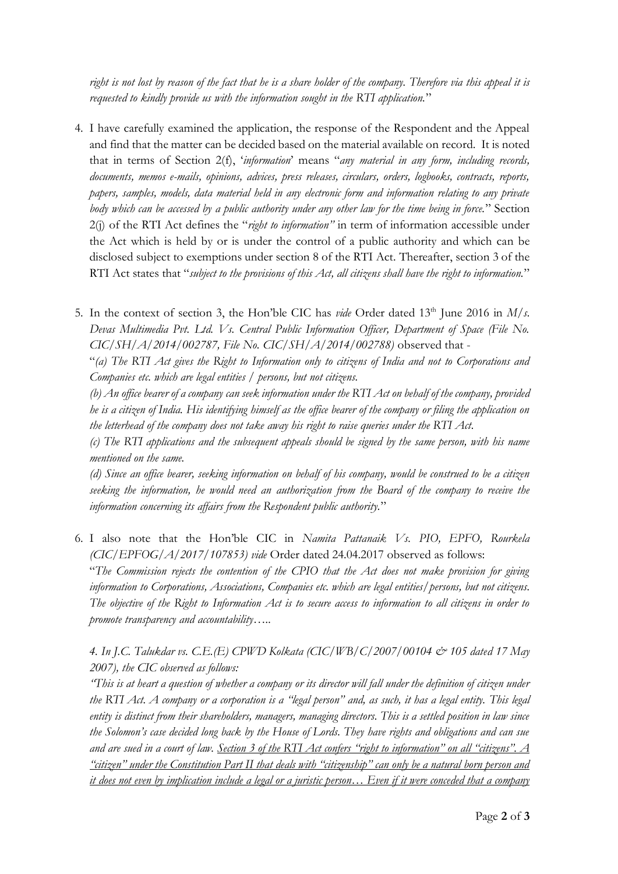*right is not lost by reason of the fact that he is a share holder of the company. Therefore via this appeal it is requested to kindly provide us with the information sought in the RTI application.*"

4. I have carefully examined the application, the response of the Respondent and the Appeal and find that the matter can be decided based on the material available on record. It is noted that in terms of Section 2(f), '*information*' means "*any material in any form, including records, documents, memos e-mails, opinions, advices, press releases, circulars, orders, logbooks, contracts, reports, papers, samples, models, data material held in any electronic form and information relating to any private body which can be accessed by a public authority under any other law for the time being in force.*" Section 2(j) of the RTI Act defines the "*right to information"* in term of information accessible under the Act which is held by or is under the control of a public authority and which can be disclosed subject to exemptions under section 8 of the RTI Act. Thereafter, section 3 of the RTI Act states that "*subject to the provisions of this Act, all citizens shall have the right to information.*"

5. In the context of section 3, the Hon'ble CIC has *vide* Order dated 13<sup>th</sup> June 2016 in *M/s. Devas Multimedia Pvt. Ltd. Vs. Central Public Information Officer, Department of Space (File No. CIC/SH/A/2014/002787, File No. CIC/SH/A/2014/002788)* observed that -

"*(a) The RTI Act gives the Right to Information only to citizens of India and not to Corporations and Companies etc. which are legal entities / persons, but not citizens.*

*(b) An office bearer of a company can seek information under the RTI Act on behalf of the company, provided he is a citizen of India. His identifying himself as the office bearer of the company or filing the application on the letterhead of the company does not take away his right to raise queries under the RTI Act.*

*(c) The RTI applications and the subsequent appeals should be signed by the same person, with his name mentioned on the same.*

*(d) Since an office bearer, seeking information on behalf of his company, would be construed to be a citizen seeking the information, he would need an authorization from the Board of the company to receive the information concerning its affairs from the Respondent public authority.*"

6. I also note that the Hon'ble CIC in *Namita Pattanaik Vs. PIO, EPFO, Rourkela (CIC/EPFOG/A/2017/107853) vide* Order dated 24.04.2017 observed as follows:

"*The Commission rejects the contention of the CPIO that the Act does not make provision for giving information to Corporations, Associations, Companies etc. which are legal entities/persons, but not citizens. The objective of the Right to Information Act is to secure access to information to all citizens in order to promote transparency and accountability…..*

*4. In J.C. Talukdar vs. C.E.(E) CPWD Kolkata (CIC/WB/C/2007/00104 & 105 dated 17 May 2007), the CIC observed as follows:* 

*"This is at heart a question of whether a company or its director will fall under the definition of citizen under the RTI Act. A company or a corporation is a "legal person" and, as such, it has a legal entity. This legal entity is distinct from their shareholders, managers, managing directors. This is a settled position in law since the Solomon's case decided long back by the House of Lords. They have rights and obligations and can sue and are sued in a court of law. Section 3 of the RTI Act confers "right to information" on all "citizens". A "citizen" under the Constitution Part II that deals with "citizenship" can only be a natural born person and it does not even by implication include a legal or a juristic person… Even if it were conceded that a company*